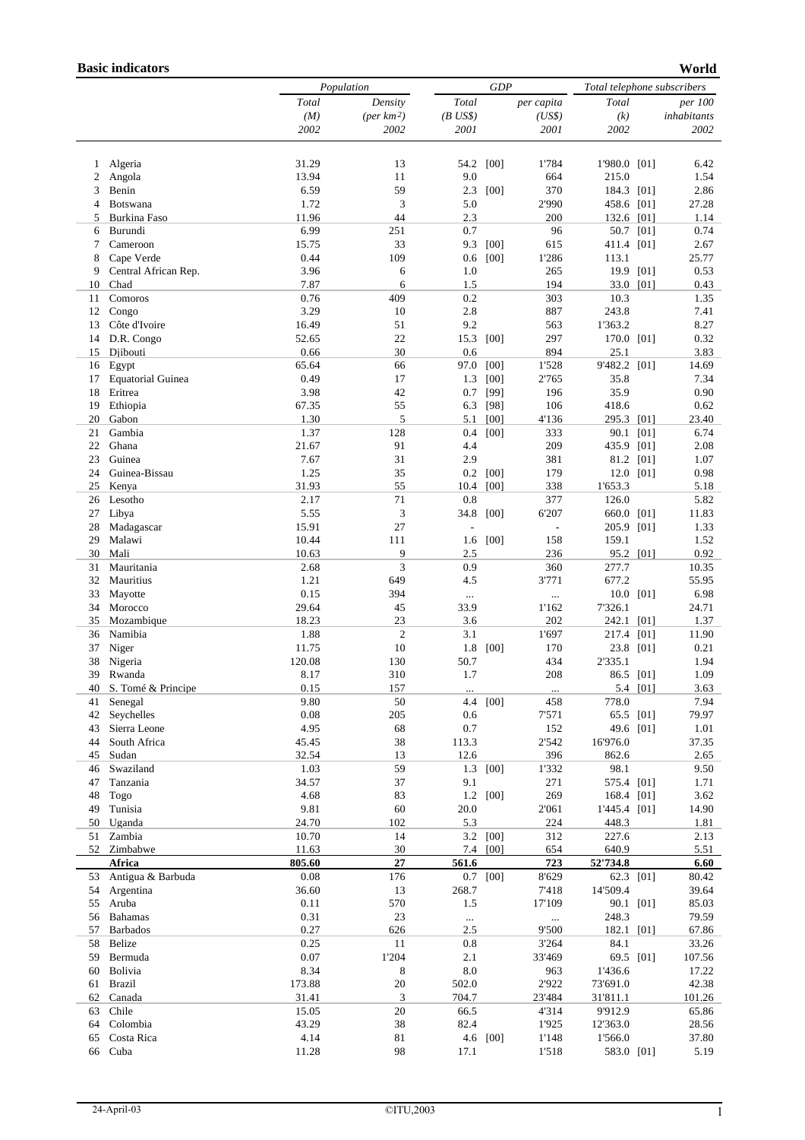## **Basic indicators**

**World** 

|          |                                    |               | Population          |            | GDP      |              |                    | Total telephone subscribers |                |  |
|----------|------------------------------------|---------------|---------------------|------------|----------|--------------|--------------------|-----------------------------|----------------|--|
|          |                                    | Total         | Density             | Total      |          | per capita   | Total              |                             | <i>per</i> 100 |  |
|          |                                    | (M)           | $(\text{per km}^2)$ | $(B$ US\$) |          | (US\$)       | (k)                |                             | inhabitants    |  |
|          |                                    | 2002          | 2002                | 2001       |          | 2001         | 2002               |                             | 2002           |  |
|          |                                    |               |                     |            |          |              |                    |                             |                |  |
| 1        | Algeria                            | 31.29         | 13                  | 54.2       | [00]     | 1'784        | 1'980.0 [01]       |                             | 6.42           |  |
| 2        | Angola                             | 13.94         | 11                  | 9.0        |          | 664          | 215.0              |                             | 1.54           |  |
| 3        | Benin                              | 6.59          | 59                  | 2.3        | [00]     | 370          | 184.3 [01]         |                             | 2.86           |  |
| 4        | Botswana                           | 1.72          | 3                   | 5.0        |          | 2'990        | 458.6 [01]         |                             | 27.28          |  |
| 5        | Burkina Faso                       | 11.96<br>6.99 | 44                  | 2.3        |          | 200          | 132.6 [01]         |                             | 1.14           |  |
| 6        | Burundi                            |               | 251                 | 0.7        |          | 96           | 50.7 [01]          |                             | 0.74           |  |
| 7        | Cameroon                           | 15.75<br>0.44 | 33<br>109           | 9.3        | [00]     | 615<br>1'286 | 411.4 [01]         |                             | 2.67           |  |
| 8<br>9   | Cape Verde<br>Central African Rep. | 3.96          | 6                   | 0.6<br>1.0 | [00]     | 265          | 113.1<br>19.9 [01] |                             | 25.77<br>0.53  |  |
| 10       | Chad                               | 7.87          | 6                   | 1.5        |          | 194          | 33.0 [01]          |                             | 0.43           |  |
| 11       | Comoros                            | 0.76          | 409                 | 0.2        |          | 303          | 10.3               |                             | 1.35           |  |
| 12       | Congo                              | 3.29          | 10                  | 2.8        |          | 887          | 243.8              |                             | 7.41           |  |
| 13       | Côte d'Ivoire                      | 16.49         | 51                  | 9.2        |          | 563          | 1'363.2            |                             | 8.27           |  |
| 14       | D.R. Congo                         | 52.65         | 22                  | 15.3       | [00]     | 297          | 170.0 [01]         |                             | 0.32           |  |
| 15       | Djibouti                           | 0.66          | 30                  | 0.6        |          | 894          | 25.1               |                             | 3.83           |  |
| 16       | Egypt                              | 65.64         | 66                  | 97.0       | [00]     | 1'528        | 9'482.2 [01]       |                             | 14.69          |  |
| 17       | <b>Equatorial Guinea</b>           | 0.49          | 17                  | 1.3        | [00]     | 2'765        | 35.8               |                             | 7.34           |  |
| 18       | Eritrea                            | 3.98          | 42                  | 0.7        | [99]     | 196          | 35.9               |                             | 0.90           |  |
| 19       | Ethiopia                           | 67.35         | 55                  | 6.3        | [98]     | 106          | 418.6              |                             | 0.62           |  |
| 20       | Gabon                              | 1.30          | 5                   | 5.1        | [00]     | 4'136        | 295.3 [01]         |                             | 23.40          |  |
| 21       | Gambia                             | 1.37          | 128                 | 0.4        | [00]     | 333          | 90.1 [01]          |                             | 6.74           |  |
| 22       | Ghana                              | 21.67         | 91                  | 4.4        |          | 209          | 435.9 [01]         |                             | 2.08           |  |
| 23       | Guinea                             | 7.67          | 31                  | 2.9        |          | 381          | 81.2 [01]          |                             | 1.07           |  |
| 24       | Guinea-Bissau                      | 1.25          | 35                  | 0.2        | [00]     | 179          | 12.0 [01]          |                             | 0.98           |  |
| 25       | Kenya                              | 31.93         | 55                  | 10.4       | [00]     | 338          | 1'653.3            |                             | 5.18           |  |
| 26       | Lesotho                            | 2.17          | 71                  | 0.8        |          | 377          | 126.0              |                             | 5.82           |  |
| 27       | Libya                              | 5.55          | 3                   | 34.8       | [00]     | 6'207        | 660.0 [01]         |                             | 11.83          |  |
| 28       | Madagascar                         | 15.91         | 27                  |            |          |              | 205.9 [01]         |                             | 1.33           |  |
| 29       | Malawi                             | 10.44         | 111                 | 1.6        | [00]     | 158          | 159.1              |                             | 1.52           |  |
| 30       | Mali                               | 10.63         | 9                   | 2.5        |          | 236          | 95.2 [01]          |                             | 0.92           |  |
| 31       | Mauritania                         | 2.68          | 3                   | 0.9        |          | 360          | 277.7              |                             | 10.35          |  |
| 32       | Mauritius                          | 1.21          | 649                 | 4.5        |          | 3'771        | 677.2              |                             | 55.95          |  |
| 33       | Mayotte                            | 0.15          | 394                 | $\ldots$   |          | $\cdots$     |                    | 10.0 [01]                   | 6.98           |  |
| 34       | Morocco                            | 29.64         | 45                  | 33.9       |          | 1'162        | 7'326.1            |                             | 24.71          |  |
| 35       | Mozambique                         | 18.23         | 23                  | 3.6        |          | 202          | 242.1 [01]         |                             | 1.37           |  |
| 36       | Namibia                            | 1.88          | $\mathfrak{2}$      | 3.1        |          | 1'697        | 217.4 [01]         |                             | 11.90          |  |
| 37       | Niger                              | 11.75         | 10                  | 1.8        | [00]     | 170          | 23.8 [01]          |                             | 0.21           |  |
| 38       | Nigeria                            | 120.08        | 130                 | 50.7       |          | 434          | 2'335.1            |                             | 1.94           |  |
| 39       | Rwanda                             | 8.17          | 310                 | 1.7        |          | 208          | 86.5 [01]          |                             | 1.09           |  |
|          | 40 S. Tomé & Principe              | 0.15          | 157                 |            |          | $\cdots$     |                    | 5.4 [01]                    | 3.63           |  |
| 41       | Senegal                            | 9.80          | 50                  |            | 4.4 [00] | 458          | 778.0              |                             | 7.94           |  |
| 42       | Seychelles                         | $0.08\,$      | 205                 | 0.6        |          | 7'571        | 65.5 [01]          |                             | 79.97          |  |
| 43       | Sierra Leone                       | 4.95          | 68                  | 0.7        |          | 152          | 49.6 [01]          |                             | 1.01           |  |
| 44       | South Africa                       | 45.45         | 38                  | 113.3      |          | 2'542        | 16'976.0           |                             | 37.35          |  |
| 45       | Sudan                              | 32.54         | 13                  | 12.6       |          | 396          | 862.6              |                             | 2.65           |  |
| 46<br>47 | Swaziland<br>Tanzania              | 1.03<br>34.57 | 59<br>37            | 1.3<br>9.1 | [00]     | 1'332<br>271 | 98.1<br>575.4 [01] |                             | 9.50<br>1.71   |  |
| 48       | Togo                               | 4.68          | 83                  |            | 1.2 [00] | 269          | 168.4 [01]         |                             | 3.62           |  |
| 49       | Tunisia                            | 9.81          | 60                  | 20.0       |          | 2'061        | 1'445.4 [01]       |                             | 14.90          |  |
| 50       | Uganda                             | 24.70         | 102                 | 5.3        |          | 224          | 448.3              |                             | 1.81           |  |
| 51       | Zambia                             | 10.70         | 14                  |            | 3.2 [00] | 312          | 227.6              |                             | 2.13           |  |
| 52       | Zimbabwe                           | 11.63         | 30                  |            | 7.4 [00] | 654          | 640.9              |                             | 5.51           |  |
|          | <b>Africa</b>                      | 805.60        | 27                  | 561.6      |          | 723          | 52'734.8           |                             | 6.60           |  |
| 53       | Antigua & Barbuda                  | 0.08          | 176                 | 0.7        | [00]     | 8'629        | 62.3 [01]          |                             | 80.42          |  |
| 54       | Argentina                          | 36.60         | 13                  | 268.7      |          | 7'418        | 14'509.4           |                             | 39.64          |  |
| 55       | Aruba                              | 0.11          | 570                 | 1.5        |          | 17'109       | 90.1 [01]          |                             | 85.03          |  |
| 56       | Bahamas                            | 0.31          | 23                  | $\ldots$   |          | $\ldots$     | 248.3              |                             | 79.59          |  |
| 57       | <b>Barbados</b>                    | 0.27          | 626                 | 2.5        |          | 9'500        | 182.1 [01]         |                             | 67.86          |  |
| 58       | Belize                             | 0.25          | 11                  | 0.8        |          | 3'264        | 84.1               |                             | 33.26          |  |
| 59       | Bermuda                            | $0.07\,$      | 1'204               | 2.1        |          | 33'469       | 69.5 [01]          |                             | 107.56         |  |
| 60       | Bolivia                            | 8.34          | 8                   | $\ \, 8.0$ |          | 963          | 1'436.6            |                             | 17.22          |  |
| 61       | Brazil                             | 173.88        | 20                  | 502.0      |          | 2'922        | 73'691.0           |                             | 42.38          |  |
| 62       | Canada                             | 31.41         | 3                   | 704.7      |          | 23'484       | 31'811.1           |                             | 101.26         |  |
| 63       | Chile                              | 15.05         | 20                  | 66.5       |          | 4'314        | 9'912.9            |                             | 65.86          |  |
| 64       | Colombia                           | 43.29         | 38                  | 82.4       |          | 1'925        | 12'363.0           |                             | 28.56          |  |
| 65       | Costa Rica                         | 4.14          | $8\sqrt{1}$         | 4.6        | [00]     | 1'148        | 1'566.0            |                             | 37.80          |  |
| 66       | Cuba                               | 11.28         | 98                  | 17.1       |          | 1'518        | 583.0 [01]         |                             | 5.19           |  |
|          |                                    |               |                     |            |          |              |                    |                             |                |  |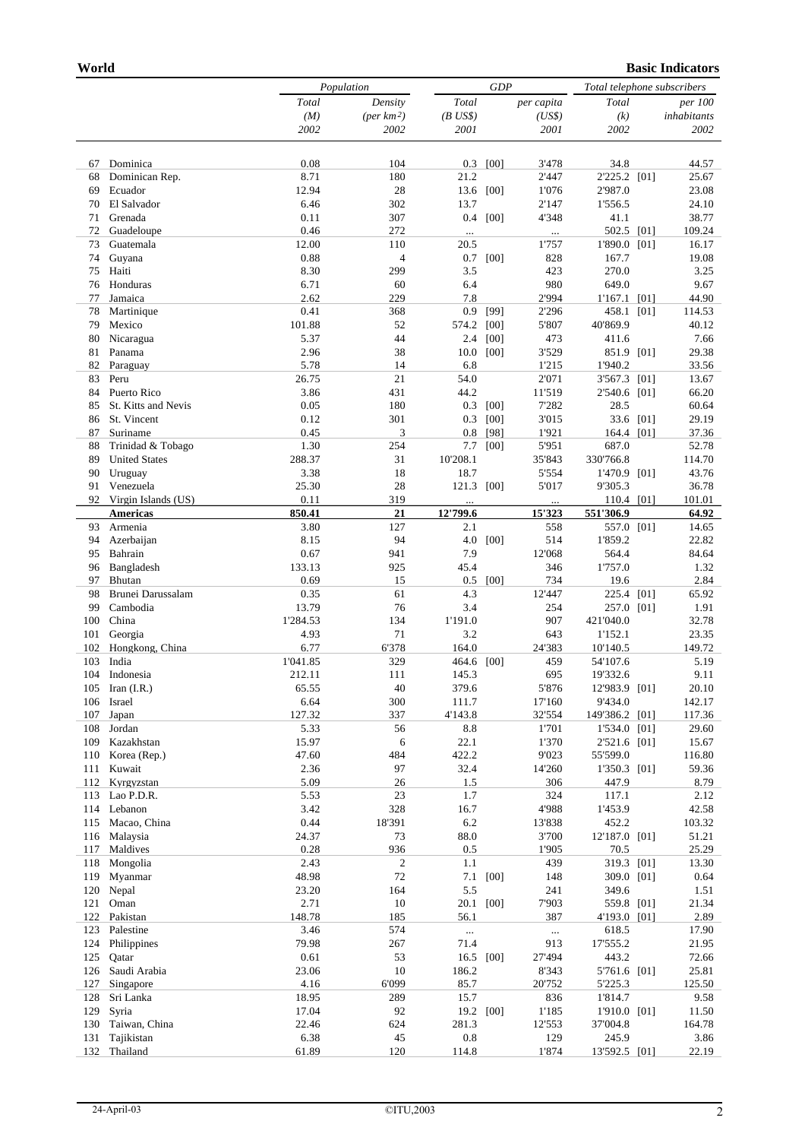|            |                                 |                        | Population            |                  |           | GDP             |                           |  | Total telephone subscribers |  |  |
|------------|---------------------------------|------------------------|-----------------------|------------------|-----------|-----------------|---------------------------|--|-----------------------------|--|--|
|            |                                 | $\operatorname{Total}$ | Density               | Total            |           | per capita      | Total                     |  | <i>per</i> 100              |  |  |
|            |                                 | (M)                    | $(\text{per km}^2)$   | $(B$ US\$)       |           | (US\$)          | (k)                       |  | inhabitants                 |  |  |
|            |                                 | 2002                   | 2002                  | 2001             |           | 2001            | 2002                      |  | 2002                        |  |  |
| 67         | Dominica                        | 0.08                   | 104                   | 0.3              | [00]      | 3'478           | 34.8                      |  | 44.57                       |  |  |
| 68         | Dominican Rep.                  | 8.71                   | 180                   | 21.2             |           | 2'447           | 2'225.2 [01]              |  | 25.67                       |  |  |
| 69         | Ecuador                         | 12.94                  | 28                    | 13.6             | [00]      | 1'076           | 2'987.0                   |  | 23.08                       |  |  |
| 70         | El Salvador                     | 6.46                   | 302                   | 13.7             |           | 2'147           | 1'556.5                   |  | 24.10                       |  |  |
| 71         | Grenada                         | 0.11                   | 307                   | 0.4              | [00]      | 4'348           | 41.1                      |  | 38.77                       |  |  |
| 72         | Guadeloupe                      | 0.46                   | 272                   | $\ldots$         |           | $\cdots$        | 502.5 [01]                |  | 109.24                      |  |  |
| 73         | Guatemala                       | 12.00                  | 110                   | 20.5             |           | 1'757           | 1'890.0 [01]              |  | 16.17                       |  |  |
| 74<br>75   | Guyana<br>Haiti                 | 0.88<br>8.30           | $\overline{4}$<br>299 | 0.7<br>3.5       | [00]      | 828<br>423      | 167.7<br>270.0            |  | 19.08<br>3.25               |  |  |
| 76         | Honduras                        | 6.71                   | 60                    | 6.4              |           | 980             | 649.0                     |  | 9.67                        |  |  |
| 77         | Jamaica                         | 2.62                   | 229                   | 7.8              |           | 2'994           | $1'167.1$ [01]            |  | 44.90                       |  |  |
| 78         | Martinique                      | 0.41                   | 368                   | 0.9              | [99]      | 2'296           | 458.1 [01]                |  | 114.53                      |  |  |
| 79         | Mexico                          | 101.88                 | 52                    | 574.2            | [00]      | 5'807           | 40'869.9                  |  | 40.12                       |  |  |
| 80         | Nicaragua                       | 5.37                   | 44                    | 2.4              | [00]      | 473             | 411.6                     |  | 7.66                        |  |  |
| 81         | Panama                          | 2.96                   | 38                    | 10.0             | [00]      | 3'529           | 851.9 [01]                |  | 29.38                       |  |  |
| 82         | Paraguay                        | 5.78                   | 14                    | 6.8              |           | 1'215           | 1'940.2                   |  | 33.56                       |  |  |
| 83         | Peru                            | 26.75                  | 21                    | 54.0             |           | 2'071           | 3'567.3 [01]              |  | 13.67                       |  |  |
| 84         | Puerto Rico                     | 3.86                   | 431                   | 44.2             |           | 11'519          | 2'540.6 [01]              |  | 66.20                       |  |  |
| 85         | St. Kitts and Nevis             | 0.05                   | 180                   | 0.3              | [00]      | 7'282           | 28.5                      |  | 60.64                       |  |  |
| 86         | St. Vincent                     | 0.12                   | 301                   | 0.3              | [00]      | 3'015           | 33.6 [01]                 |  | 29.19                       |  |  |
| 87         | Suriname                        | 0.45                   | 3                     | 0.8              | [98]      | 1'921           | 164.4 [01]                |  | 37.36                       |  |  |
| 88         | Trinidad & Tobago               | 1.30                   | 254                   | 7.7              | [00]      | 5'951           | 687.0                     |  | 52.78                       |  |  |
| 89<br>90   | <b>United States</b><br>Uruguay | 288.37<br>3.38         | 31<br>18              | 10'208.1<br>18.7 |           | 35'843<br>5'554 | 330'766.8<br>1'470.9 [01] |  | 114.70<br>43.76             |  |  |
| 91         | Venezuela                       | 25.30                  | 28                    | 121.3            | [00]      | 5'017           | 9'305.3                   |  | 36.78                       |  |  |
|            | 92 Virgin Islands (US)          | 0.11                   | 319                   |                  |           |                 | 110.4 [01]                |  | 101.01                      |  |  |
|            | <b>Americas</b>                 | 850.41                 | 21                    | 12'799.6         |           | 15'323          | 551'306.9                 |  | 64.92                       |  |  |
| 93         | Armenia                         | 3.80                   | 127                   | 2.1              |           | 558             | 557.0 [01]                |  | 14.65                       |  |  |
| 94         | Azerbaijan                      | 8.15                   | 94                    | 4.0              | [00]      | 514             | 1'859.2                   |  | 22.82                       |  |  |
| 95         | Bahrain                         | 0.67                   | 941                   | 7.9              |           | 12'068          | 564.4                     |  | 84.64                       |  |  |
| 96         | Bangladesh                      | 133.13                 | 925                   | 45.4             |           | 346             | 1'757.0                   |  | 1.32                        |  |  |
| 97         | Bhutan                          | 0.69                   | 15                    | 0.5              | [00]      | 734             | 19.6                      |  | 2.84                        |  |  |
| 98         | Brunei Darussalam               | 0.35                   | 61                    | 4.3              |           | 12'447          | 225.4 [01]                |  | 65.92                       |  |  |
| 99         | Cambodia                        | 13.79                  | 76                    | 3.4              |           | 254             | 257.0 [01]                |  | 1.91                        |  |  |
| 100        | China                           | 1'284.53               | 134                   | 1'191.0          |           | 907             | 421'040.0                 |  | 32.78                       |  |  |
| 101<br>102 | Georgia                         | 4.93<br>6.77           | 71<br>6'378           | 3.2<br>164.0     |           | 643<br>24'383   | 1'152.1                   |  | 23.35<br>149.72             |  |  |
| 103        | Hongkong, China<br>India        | 1'041.85               | 329                   | 464.6 [00]       |           | 459             | 10'140.5<br>54'107.6      |  | 5.19                        |  |  |
| 104        | Indonesia                       | 212.11                 | 111                   | 145.3            |           | 695             | 19'332.6                  |  | 9.11                        |  |  |
|            | 105 Iran (I.R.)                 | 65.55                  | $40\,$                | 379.6            |           | 5'876           | 12'983.9 [01]             |  | 20.10                       |  |  |
|            | 106 Israel                      | 6.64                   | 300                   | 111.7            |           | 17'160          | 9'434.0                   |  | 142.17                      |  |  |
| 107        | Japan                           | 127.32                 | 337                   | 4'143.8          |           | 32'554          | 149'386.2 [01]            |  | 117.36                      |  |  |
| 108        | Jordan                          | 5.33                   | 56                    | $8.8\,$          |           | 1'701           | 1'534.0 [01]              |  | 29.60                       |  |  |
| 109        | Kazakhstan                      | 15.97                  | 6                     | 22.1             |           | 1'370           | 2'521.6 [01]              |  | 15.67                       |  |  |
| 110        | Korea (Rep.)                    | 47.60                  | 484                   | 422.2            |           | 9'023           | 55'599.0                  |  | 116.80                      |  |  |
| 111        | Kuwait                          | 2.36                   | 97                    | 32.4             |           | 14'260          | 1'350.3 [01]              |  | 59.36                       |  |  |
| 112        | Kyrgyzstan                      | 5.09                   | 26                    | 1.5              |           | 306             | 447.9                     |  | 8.79                        |  |  |
| 113        | Lao P.D.R.                      | 5.53                   | 23                    | 1.7              |           | 324             | 117.1                     |  | 2.12                        |  |  |
| 114<br>115 | Lebanon<br>Macao, China         | 3.42<br>0.44           | 328<br>18'391         | 16.7<br>$6.2\,$  |           | 4'988<br>13'838 | 1'453.9<br>452.2          |  | 42.58<br>103.32             |  |  |
| 116        | Malaysia                        | 24.37                  | 73                    | 88.0             |           | 3'700           | 12'187.0 [01]             |  | 51.21                       |  |  |
| 117        | Maldives                        | 0.28                   | 936                   | 0.5              |           | 1'905           | 70.5                      |  | 25.29                       |  |  |
| 118        | Mongolia                        | 2.43                   | $\overline{c}$        | 1.1              |           | 439             | 319.3 [01]                |  | 13.30                       |  |  |
| 119        | Myanmar                         | 48.98                  | 72                    | 7.1              | [00]      | 148             | 309.0 [01]                |  | 0.64                        |  |  |
| 120        | Nepal                           | 23.20                  | 164                   | 5.5              |           | 241             | 349.6                     |  | 1.51                        |  |  |
| 121        | Oman                            | 2.71                   | 10                    | 20.1             | [00]      | 7'903           | 559.8 [01]                |  | 21.34                       |  |  |
| 122        | Pakistan                        | 148.78                 | 185                   | 56.1             |           | 387             | 4'193.0 [01]              |  | 2.89                        |  |  |
| 123        | Palestine                       | 3.46                   | 574                   | $\cdots$         |           |                 | 618.5                     |  | 17.90                       |  |  |
| 124        | Philippines                     | 79.98                  | 267                   | 71.4             |           | 913             | 17'555.2                  |  | 21.95                       |  |  |
| 125        | Qatar                           | 0.61                   | 53                    | 16.5 [00]        |           | 27'494          | 443.2                     |  | 72.66                       |  |  |
| 126        | Saudi Arabia                    | 23.06                  | 10                    | 186.2            |           | 8'343           | 5'761.6 [01]              |  | 25.81                       |  |  |
| 127        | Singapore                       | 4.16                   | 6'099                 | 85.7             |           | 20'752          | 5'225.3                   |  | 125.50                      |  |  |
| 128        | Sri Lanka                       | 18.95                  | 289                   | 15.7             |           | 836             | 1'814.7                   |  | 9.58                        |  |  |
| 129        | Syria                           | 17.04                  | 92                    |                  | 19.2 [00] | 1'185           | 1'910.0 [01]              |  | 11.50                       |  |  |
| 130<br>131 | Taiwan, China<br>Tajikistan     | 22.46<br>6.38          | 624<br>45             | 281.3<br>$0.8\,$ |           | 12'553<br>129   | 37'004.8<br>245.9         |  | 164.78<br>3.86              |  |  |
| 132        | Thailand                        | 61.89                  | 120                   | 114.8            |           | 1'874           | 13'592.5 [01]             |  | 22.19                       |  |  |
|            |                                 |                        |                       |                  |           |                 |                           |  |                             |  |  |